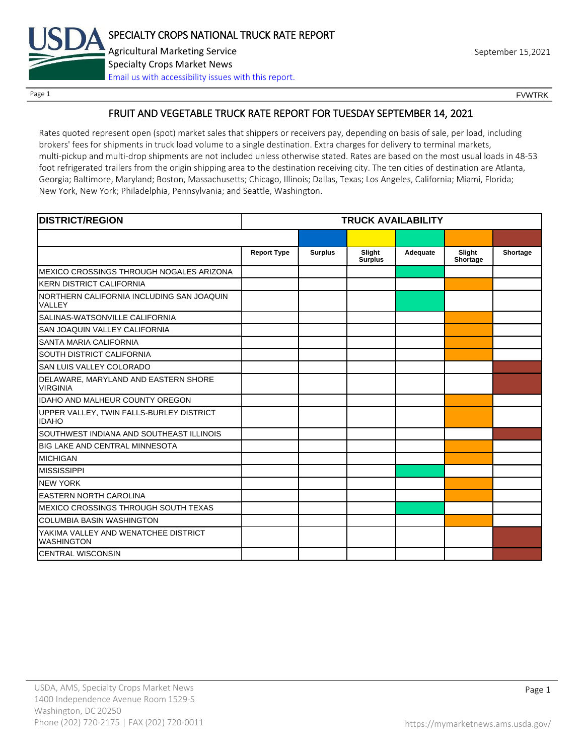

Page 1 FOUNTRK CONTROL CONTROL CONTROL CONTROL CONTROL CONTROL CONTROL CONTROL CONTROL CONTROL CONTROL CONTROL CONTROL CONTROL CONTROL CONTROL CONTROL CONTROL CONTROL CONTROL CONTROL CONTROL CONTROL CONTROL CONTROL CONTROL

# FRUIT AND VEGETABLE TRUCK RATE REPORT FOR TUESDAY SEPTEMBER 14, 2021

Rates quoted represent open (spot) market sales that shippers or receivers pay, depending on basis of sale, per load, including brokers' fees for shipments in truck load volume to a single destination. Extra charges for delivery to terminal markets, multi-pickup and multi-drop shipments are not included unless otherwise stated. Rates are based on the most usual loads in 48-53 foot refrigerated trailers from the origin shipping area to the destination receiving city. The ten cities of destination are Atlanta, Georgia; Baltimore, Maryland; Boston, Massachusetts; Chicago, Illinois; Dallas, Texas; Los Angeles, California; Miami, Florida; New York, New York; Philadelphia, Pennsylvania; and Seattle, Washington.

| <b>DISTRICT/REGION</b>                                    |                    |                |                          | <b>TRUCK AVAILABILITY</b> |                    |          |
|-----------------------------------------------------------|--------------------|----------------|--------------------------|---------------------------|--------------------|----------|
|                                                           |                    |                |                          |                           |                    |          |
|                                                           | <b>Report Type</b> | <b>Surplus</b> | Slight<br><b>Surplus</b> | Adequate                  | Slight<br>Shortage | Shortage |
| MEXICO CROSSINGS THROUGH NOGALES ARIZONA                  |                    |                |                          |                           |                    |          |
| <b>KERN DISTRICT CALIFORNIA</b>                           |                    |                |                          |                           |                    |          |
| NORTHERN CALIFORNIA INCLUDING SAN JOAQUIN<br>VALLEY       |                    |                |                          |                           |                    |          |
| SALINAS-WATSONVILLE CALIFORNIA                            |                    |                |                          |                           |                    |          |
| SAN JOAQUIN VALLEY CALIFORNIA                             |                    |                |                          |                           |                    |          |
| <b>SANTA MARIA CALIFORNIA</b>                             |                    |                |                          |                           |                    |          |
| SOUTH DISTRICT CALIFORNIA                                 |                    |                |                          |                           |                    |          |
| SAN LUIS VALLEY COLORADO                                  |                    |                |                          |                           |                    |          |
| DELAWARE, MARYLAND AND EASTERN SHORE<br><b>VIRGINIA</b>   |                    |                |                          |                           |                    |          |
| <b>IDAHO AND MALHEUR COUNTY OREGON</b>                    |                    |                |                          |                           |                    |          |
| UPPER VALLEY, TWIN FALLS-BURLEY DISTRICT<br><b>IDAHO</b>  |                    |                |                          |                           |                    |          |
| SOUTHWEST INDIANA AND SOUTHEAST ILLINOIS                  |                    |                |                          |                           |                    |          |
| <b>BIG LAKE AND CENTRAL MINNESOTA</b>                     |                    |                |                          |                           |                    |          |
| <b>MICHIGAN</b>                                           |                    |                |                          |                           |                    |          |
| <b>MISSISSIPPI</b>                                        |                    |                |                          |                           |                    |          |
| <b>NEW YORK</b>                                           |                    |                |                          |                           |                    |          |
| <b>EASTERN NORTH CAROLINA</b>                             |                    |                |                          |                           |                    |          |
| MEXICO CROSSINGS THROUGH SOUTH TEXAS                      |                    |                |                          |                           |                    |          |
| <b>COLUMBIA BASIN WASHINGTON</b>                          |                    |                |                          |                           |                    |          |
| YAKIMA VALLEY AND WENATCHEE DISTRICT<br><b>WASHINGTON</b> |                    |                |                          |                           |                    |          |
| <b>CENTRAL WISCONSIN</b>                                  |                    |                |                          |                           |                    |          |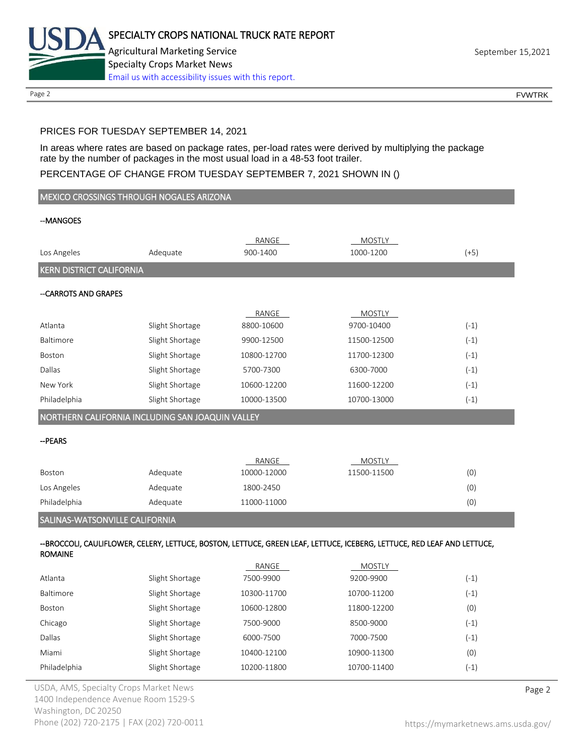

Page 2 FOUNTRK CONTROL CONTROL CONTROL CONTROL CONTROL CONTROL CONTROL CONTROL CONTROL CONTROL CONTROL CONTROL CONTROL CONTROL CONTROL CONTROL CONTROL CONTROL CONTROL CONTROL CONTROL CONTROL CONTROL CONTROL CONTROL CONTROL

# PRICES FOR TUESDAY SEPTEMBER 14, 2021

In areas where rates are based on package rates, per-load rates were derived by multiplying the package rate by the number of packages in the most usual load in a 48-53 foot trailer.

## PERCENTAGE OF CHANGE FROM TUESDAY SEPTEMBER 7, 2021 SHOWN IN ()

|                                                  | MEXICO CROSSINGS THROUGH NOGALES ARIZONA |                      |                                                                                                                         |            |  |  |
|--------------------------------------------------|------------------------------------------|----------------------|-------------------------------------------------------------------------------------------------------------------------|------------|--|--|
| --MANGOES                                        |                                          |                      |                                                                                                                         |            |  |  |
|                                                  |                                          |                      |                                                                                                                         |            |  |  |
| Los Angeles                                      | Adequate                                 | RANGE<br>900-1400    | <b>MOSTLY</b><br>1000-1200                                                                                              | $(+5)$     |  |  |
|                                                  |                                          |                      |                                                                                                                         |            |  |  |
| <b>KERN DISTRICT CALIFORNIA</b>                  |                                          |                      |                                                                                                                         |            |  |  |
| -- CARROTS AND GRAPES                            |                                          |                      |                                                                                                                         |            |  |  |
|                                                  |                                          | RANGE                | MOSTLY                                                                                                                  |            |  |  |
| Atlanta                                          | Slight Shortage                          | 8800-10600           | 9700-10400                                                                                                              | $(-1)$     |  |  |
| Baltimore                                        | Slight Shortage                          | 9900-12500           | 11500-12500                                                                                                             | $(-1)$     |  |  |
| Boston                                           | Slight Shortage                          | 10800-12700          | 11700-12300                                                                                                             | $(-1)$     |  |  |
| Dallas                                           | Slight Shortage                          | 5700-7300            | 6300-7000                                                                                                               | $(-1)$     |  |  |
| New York                                         | Slight Shortage                          | 10600-12200          | 11600-12200                                                                                                             | $(-1)$     |  |  |
| Philadelphia                                     | Slight Shortage                          | 10000-13500          | 10700-13000                                                                                                             | $(-1)$     |  |  |
| NORTHERN CALIFORNIA INCLUDING SAN JOAQUIN VALLEY |                                          |                      |                                                                                                                         |            |  |  |
|                                                  |                                          |                      |                                                                                                                         |            |  |  |
| --PEARS                                          |                                          |                      |                                                                                                                         |            |  |  |
|                                                  |                                          |                      |                                                                                                                         |            |  |  |
| Boston                                           |                                          | RANGE<br>10000-12000 | <b>MOSTLY</b><br>11500-11500                                                                                            |            |  |  |
| Los Angeles                                      | Adequate<br>Adequate                     | 1800-2450            |                                                                                                                         | (0)        |  |  |
| Philadelphia                                     | Adequate                                 | 11000-11000          |                                                                                                                         | (0)<br>(0) |  |  |
|                                                  |                                          |                      |                                                                                                                         |            |  |  |
| SALINAS-WATSONVILLE CALIFORNIA                   |                                          |                      |                                                                                                                         |            |  |  |
| <b>ROMAINE</b>                                   |                                          |                      | --BROCCOLI, CAULIFLOWER, CELERY, LETTUCE, BOSTON, LETTUCE, GREEN LEAF, LETTUCE, ICEBERG, LETTUCE, RED LEAF AND LETTUCE, |            |  |  |
|                                                  |                                          | RANGE                | <b>MOSTLY</b>                                                                                                           |            |  |  |
| Atlanta                                          | Slight Shortage                          | 7500-9900            | 9200-9900                                                                                                               | $(-1)$     |  |  |
| Baltimore                                        | Slight Shortage                          | 10300-11700          | 10700-11200                                                                                                             | $(-1)$     |  |  |
| Boston                                           | Slight Shortage                          | 10600-12800          | 11800-12200                                                                                                             | (0)        |  |  |

|                  |                 | <b>IMITUL</b> | IVIOJILI    |        |
|------------------|-----------------|---------------|-------------|--------|
| Atlanta          | Slight Shortage | 7500-9900     | 9200-9900   | $(-1)$ |
| <b>Baltimore</b> | Slight Shortage | 10300-11700   | 10700-11200 | $(-1)$ |
| Boston           | Slight Shortage | 10600-12800   | 11800-12200 | (0)    |
| Chicago          | Slight Shortage | 7500-9000     | 8500-9000   | $(-1)$ |
| Dallas           | Slight Shortage | 6000-7500     | 7000-7500   | $(-1)$ |
| Miami            | Slight Shortage | 10400-12100   | 10900-11300 | (0)    |
| Philadelphia     | Slight Shortage | 10200-11800   | 10700-11400 | $(-1)$ |
|                  |                 |               |             |        |

USDA, AMS, Specialty Crops Market News **Page 2** 1400 Independence Avenue Room 1529-S Washington, DC 20250 Phone (202) 720-2175 | FAX (202) 720-0011 <https://mymarketnews.ams.usda.gov/>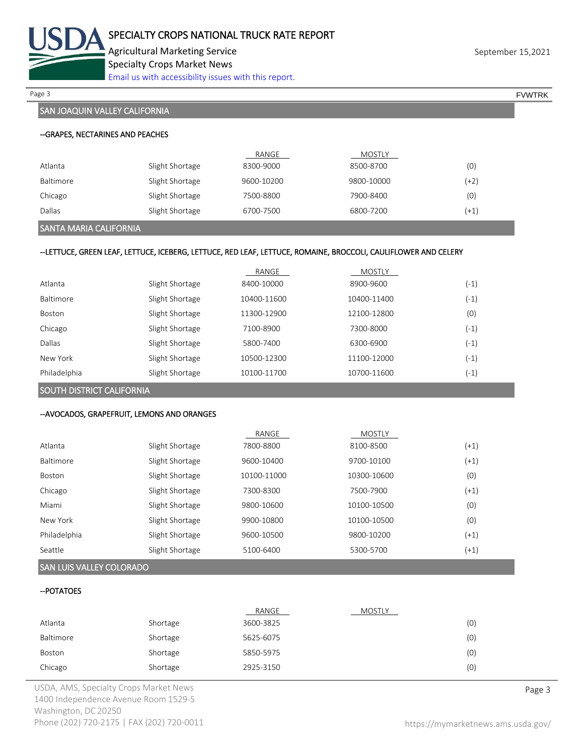

Agricultural Marketing Service **September 15,2021** September 15,2021 Specialty Crops Market News [Email us with accessibility issues with this report.](mailto:mars@ams.usda.gov?subject=508%20Inquiry/Report)

Page 3 FOUNTRK And the set of the set of the set of the set of the set of the set of the set of the set of the set of the set of the set of the set of the set of the set of the set of the set of the set of the set of the s

# SAN JOAQUIN VALLEY CALIFORNIA

|           |                 | RANGE      | MOSTLY     |      |
|-----------|-----------------|------------|------------|------|
| Atlanta   | Slight Shortage | 8300-9000  | 8500-8700  | (0)  |
| Baltimore | Slight Shortage | 9600-10200 | 9800-10000 | (+2) |
| Chicago   | Slight Shortage | 7500-8800  | 7900-8400  | (0)  |
| Dallas    | Slight Shortage | 6700-7500  | 6800-7200  | (+1) |

### SANTA MARIA CALIFORNIA

### --LETTUCE, GREEN LEAF, LETTUCE, ICEBERG, LETTUCE, RED LEAF, LETTUCE, ROMAINE, BROCCOLI, CAULIFLOWER AND CELERY

|              |                 | RANGE       | <b>MOSTLY</b> |        |
|--------------|-----------------|-------------|---------------|--------|
| Atlanta      | Slight Shortage | 8400-10000  | 8900-9600     | $(-1)$ |
| Baltimore    | Slight Shortage | 10400-11600 | 10400-11400   | $(-1)$ |
| Boston       | Slight Shortage | 11300-12900 | 12100-12800   | (0)    |
| Chicago      | Slight Shortage | 7100-8900   | 7300-8000     | $(-1)$ |
| Dallas       | Slight Shortage | 5800-7400   | 6300-6900     | $(-1)$ |
| New York     | Slight Shortage | 10500-12300 | 11100-12000   | $(-1)$ |
| Philadelphia | Slight Shortage | 10100-11700 | 10700-11600   | $(-1)$ |

SOUTH DISTRICT CALIFORNIA

### --AVOCADOS, GRAPEFRUIT, LEMONS AND ORANGES

|               |                 | RANGE       | <b>MOSTLY</b> |        |
|---------------|-----------------|-------------|---------------|--------|
| Atlanta       | Slight Shortage | 7800-8800   | 8100-8500     | (+1)   |
| Baltimore     | Slight Shortage | 9600-10400  | 9700-10100    | $(+1)$ |
| <b>Boston</b> | Slight Shortage | 10100-11000 | 10300-10600   | (0)    |
| Chicago       | Slight Shortage | 7300-8300   | 7500-7900     | (+1)   |
| Miami         | Slight Shortage | 9800-10600  | 10100-10500   | (0)    |
| New York      | Slight Shortage | 9900-10800  | 10100-10500   | (0)    |
| Philadelphia  | Slight Shortage | 9600-10500  | 9800-10200    | $(+1)$ |
| Seattle       | Slight Shortage | 5100-6400   | 5300-5700     | (+1)   |

## SAN LUIS VALLEY COLORADO

### --POTATOES

|           |          | RANGE     | MOSTLY |     |
|-----------|----------|-----------|--------|-----|
| Atlanta   | Shortage | 3600-3825 |        | (0) |
| Baltimore | Shortage | 5625-6075 |        | (0) |
| Boston    | Shortage | 5850-5975 |        | (0) |
| Chicago   | Shortage | 2925-3150 |        | (0) |

USDA, AMS, Specialty Crops Market News **Page 3** 1400 Independence Avenue Room 1529-S Washington, DC 20250 Phone (202) 720-2175 | FAX (202) 720-0011 <https://mymarketnews.ams.usda.gov/>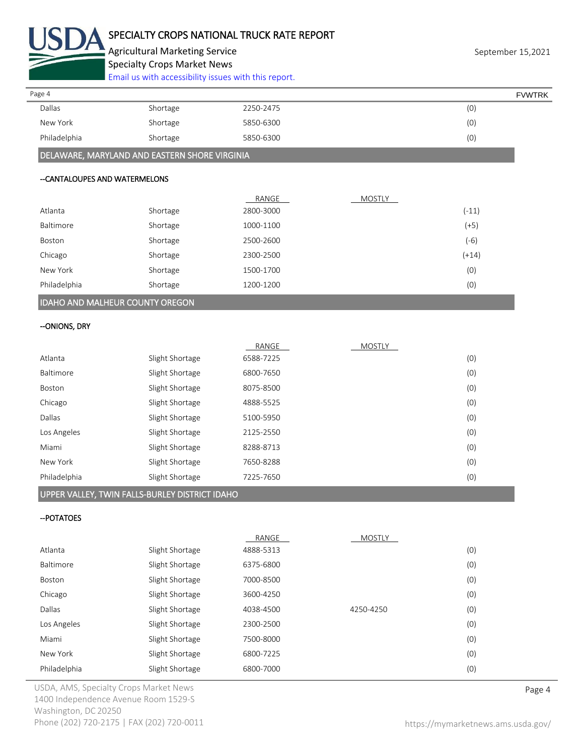

# SPECIALTY CROPS NATIONAL TRUCK RATE REPORT

Agricultural Marketing Service **September 15,2021** September 15,2021

Specialty Crops Market News

[Email us with accessibility issues with this report.](mailto:mars@ams.usda.gov?subject=508%20Inquiry/Report)

| Page 4       |          |           | <b>FVWTRK</b> |
|--------------|----------|-----------|---------------|
| Dallas       | Shortage | 2250-2475 | (0)           |
| New York     | Shortage | 5850-6300 | (0)           |
| Philadelphia | Shortage | 5850-6300 | (0)           |

# DELAWARE, MARYLAND AND EASTERN SHORE VIRGINIA

### --CANTALOUPES AND WATERMELONS

|                                        |          | RANGE     | <b>MOSTLY</b> |         |
|----------------------------------------|----------|-----------|---------------|---------|
| Atlanta                                | Shortage | 2800-3000 |               | $(-11)$ |
| <b>Baltimore</b>                       | Shortage | 1000-1100 |               | $(+5)$  |
| Boston                                 | Shortage | 2500-2600 |               | $(-6)$  |
| Chicago                                | Shortage | 2300-2500 |               | $(+14)$ |
| New York                               | Shortage | 1500-1700 |               | (0)     |
| Philadelphia                           | Shortage | 1200-1200 |               | (0)     |
| <b>IDAHO AND MALHEUR COUNTY OREGON</b> |          |           |               |         |

# --ONIONS, DRY

|              |                 | RANGE     | <b>MOSTLY</b> |     |
|--------------|-----------------|-----------|---------------|-----|
| Atlanta      | Slight Shortage | 6588-7225 |               | (0) |
| Baltimore    | Slight Shortage | 6800-7650 |               | (0) |
| Boston       | Slight Shortage | 8075-8500 |               | (0) |
| Chicago      | Slight Shortage | 4888-5525 |               | (0) |
| Dallas       | Slight Shortage | 5100-5950 |               | (0) |
| Los Angeles  | Slight Shortage | 2125-2550 |               | (0) |
| Miami        | Slight Shortage | 8288-8713 |               | (0) |
| New York     | Slight Shortage | 7650-8288 |               | (0) |
| Philadelphia | Slight Shortage | 7225-7650 |               | (0) |

# UPPER VALLEY, TWIN FALLS-BURLEY DISTRICT IDAHO

## --POTATOES

|                  |                 | RANGE     | <b>MOSTLY</b> |     |
|------------------|-----------------|-----------|---------------|-----|
| Atlanta          | Slight Shortage | 4888-5313 |               | (0) |
| <b>Baltimore</b> | Slight Shortage | 6375-6800 |               | (0) |
| <b>Boston</b>    | Slight Shortage | 7000-8500 |               | (0) |
| Chicago          | Slight Shortage | 3600-4250 |               | (0) |
| Dallas           | Slight Shortage | 4038-4500 | 4250-4250     | (0) |
| Los Angeles      | Slight Shortage | 2300-2500 |               | (0) |
| Miami            | Slight Shortage | 7500-8000 |               | (0) |
| New York         | Slight Shortage | 6800-7225 |               | (0) |
| Philadelphia     | Slight Shortage | 6800-7000 |               | (0) |

USDA, AMS, Specialty Crops Market News **Page 4** 1400 Independence Avenue Room 1529-S Washington, DC 20250 Phone (202) 720-2175 | FAX (202) 720-0011 <https://mymarketnews.ams.usda.gov/>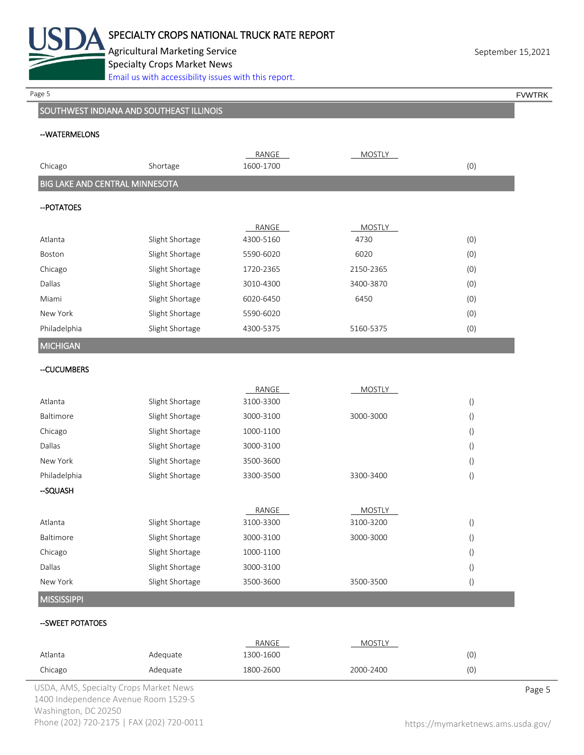

Agricultural Marketing Service **September 15,2021** September 15,2021 Specialty Crops Market News [Email us with accessibility issues with this report.](mailto:mars@ams.usda.gov?subject=508%20Inquiry/Report)

Page 5 FOUNTRK And the set of the set of the set of the set of the set of the set of the set of the set of the set of the set of the set of the set of the set of the set of the set of the set of the set of the set of the s

# SOUTHWEST INDIANA AND SOUTHEAST ILLINOIS

### --WATERMELONS

|                                       |                 | RANGE     | <b>MOSTLY</b> |                  |
|---------------------------------------|-----------------|-----------|---------------|------------------|
| Chicago                               | Shortage        | 1600-1700 |               | (0)              |
| <b>BIG LAKE AND CENTRAL MINNESOTA</b> |                 |           |               |                  |
| -- POTATOES                           |                 |           |               |                  |
|                                       |                 | RANGE     | <b>MOSTLY</b> |                  |
| Atlanta                               | Slight Shortage | 4300-5160 | 4730          | (0)              |
| Boston                                | Slight Shortage | 5590-6020 | 6020          | (0)              |
| Chicago                               | Slight Shortage | 1720-2365 | 2150-2365     | (0)              |
| Dallas                                | Slight Shortage | 3010-4300 | 3400-3870     | (0)              |
| Miami                                 | Slight Shortage | 6020-6450 | 6450          | (0)              |
| New York                              | Slight Shortage | 5590-6020 |               | (0)              |
| Philadelphia                          | Slight Shortage | 4300-5375 | 5160-5375     | (0)              |
| <b>MICHIGAN</b>                       |                 |           |               |                  |
| --CUCUMBERS                           |                 |           |               |                  |
|                                       |                 | RANGE     | <b>MOSTLY</b> |                  |
| Atlanta                               | Slight Shortage | 3100-3300 |               | $\left( \right)$ |
| Baltimore                             | Slight Shortage | 3000-3100 | 3000-3000     | $\left( \right)$ |
| Chicago                               | Slight Shortage | 1000-1100 |               | $\left( \right)$ |
| Dallas                                | Slight Shortage | 3000-3100 |               | $\left( \right)$ |
| New York                              | Slight Shortage | 3500-3600 |               | $\left(\right)$  |
| Philadelphia                          | Slight Shortage | 3300-3500 | 3300-3400     | $\left( \right)$ |
| -SQUASH                               |                 |           |               |                  |
|                                       |                 | RANGE     | <b>MOSTLY</b> |                  |
| Atlanta                               | Slight Shortage | 3100-3300 | 3100-3200     | $\left( \right)$ |
| Baltimore                             | Slight Shortage | 3000-3100 | 3000-3000     | $\left( \right)$ |
| Chicago                               | Slight Shortage | 1000-1100 |               | $\left(\right)$  |
| Dallas                                | Slight Shortage | 3000-3100 |               | $\left(\right)$  |
| New York                              | Slight Shortage | 3500-3600 | 3500-3500     | $\left(\right)$  |
| <b>MISSISSIPPI</b>                    |                 |           |               |                  |
| --SWEET POTATOES                      |                 |           |               |                  |
|                                       |                 | RANGE     | <b>MOSTLY</b> |                  |
| Atlanta                               | Adequate        | 1300-1600 |               | (0)              |
| Chicago                               | Adequate        | 1800-2600 | 2000-2400     | (0)              |

USDA, AMS, Specialty Crops Market News **Page 5** 1400 Independence Avenue Room 1529-S Washington, DC 20250 Phone (202) 720-2175 | FAX (202) 720-0011 <https://mymarketnews.ams.usda.gov/>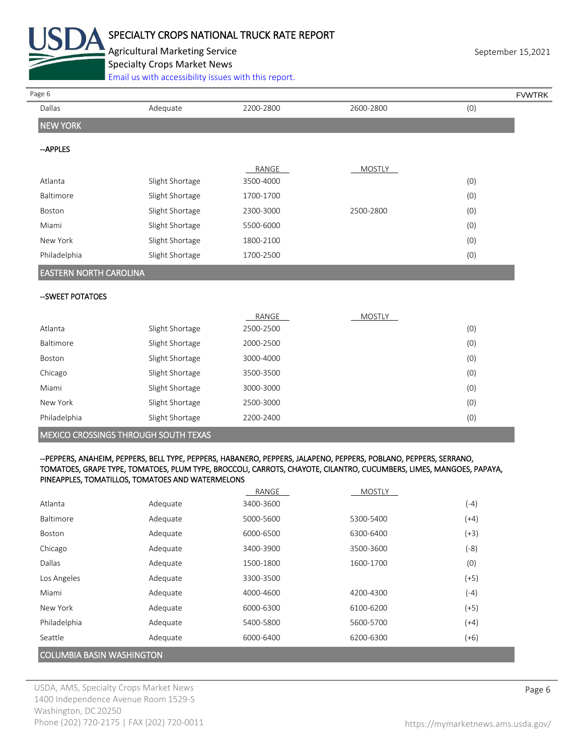

# SPECIALTY CROPS NATIONAL TRUCK RATE REPORT

Agricultural Marketing Service **September 15,2021** September 15,2021 Specialty Crops Market News

[Email us with accessibility issues with this report.](mailto:mars@ams.usda.gov?subject=508%20Inquiry/Report)

| Page 6<br>Dallas              | Adequate        | 2200-2800 | 2600-2800     | (0) |
|-------------------------------|-----------------|-----------|---------------|-----|
| <b>NEW YORK</b>               |                 |           |               |     |
| --APPLES                      |                 |           |               |     |
|                               |                 | RANGE     | <b>MOSTLY</b> |     |
| Atlanta                       | Slight Shortage | 3500-4000 |               | (0) |
| Baltimore                     | Slight Shortage | 1700-1700 |               | (0) |
| Boston                        | Slight Shortage | 2300-3000 | 2500-2800     | (0) |
| Miami                         | Slight Shortage | 5500-6000 |               | (0) |
| New York                      | Slight Shortage | 1800-2100 |               | (0) |
| Philadelphia                  | Slight Shortage | 1700-2500 |               | (0) |
| <b>EASTERN NORTH CAROLINA</b> |                 |           |               |     |
| -- SWEET POTATOES             |                 |           |               |     |
|                               |                 | RANGE     | MOSTLY        |     |
| Atlanta                       | Slight Shortage | 2500-2500 |               | (0) |
| Baltimore                     | Slight Shortage | 2000-2500 |               | (0) |
| Boston                        | Slight Shortage | 3000-4000 |               | (0) |
|                               | Slight Shortage | 3500-3500 |               | (0) |
|                               |                 |           |               | (0) |
|                               | Slight Shortage | 3000-3000 |               |     |
| Chicago<br>Miami<br>New York  | Slight Shortage | 2500-3000 |               | (0) |

#### --PEPPERS, ANAHEIM, PEPPERS, BELL TYPE, PEPPERS, HABANERO, PEPPERS, JALAPENO, PEPPERS, POBLANO, PEPPERS, SERRANO, TOMATOES, GRAPE TYPE, TOMATOES, PLUM TYPE, BROCCOLI, CARROTS, CHAYOTE, CILANTRO, CUCUMBERS, LIMES, MANGOES, PAPAYA, PINEAPPLES, TOMATILLOS, TOMATOES AND WATERMELONS

|                                  |          | RANGE     | <b>MOSTLY</b> |        |  |
|----------------------------------|----------|-----------|---------------|--------|--|
| Atlanta                          | Adequate | 3400-3600 |               | $(-4)$ |  |
| <b>Baltimore</b>                 | Adequate | 5000-5600 | 5300-5400     | $(+4)$ |  |
| <b>Boston</b>                    | Adequate | 6000-6500 | 6300-6400     | $(+3)$ |  |
| Chicago                          | Adequate | 3400-3900 | 3500-3600     | (-8)   |  |
| Dallas                           | Adequate | 1500-1800 | 1600-1700     | (0)    |  |
| Los Angeles                      | Adequate | 3300-3500 |               | $(+5)$ |  |
| Miami                            | Adequate | 4000-4600 | 4200-4300     | (-4)   |  |
| New York                         | Adequate | 6000-6300 | 6100-6200     | $(+5)$ |  |
| Philadelphia                     | Adequate | 5400-5800 | 5600-5700     | $(+4)$ |  |
| Seattle                          | Adequate | 6000-6400 | 6200-6300     | $(+6)$ |  |
| <b>COLUMBIA BASIN WASHINGTON</b> |          |           |               |        |  |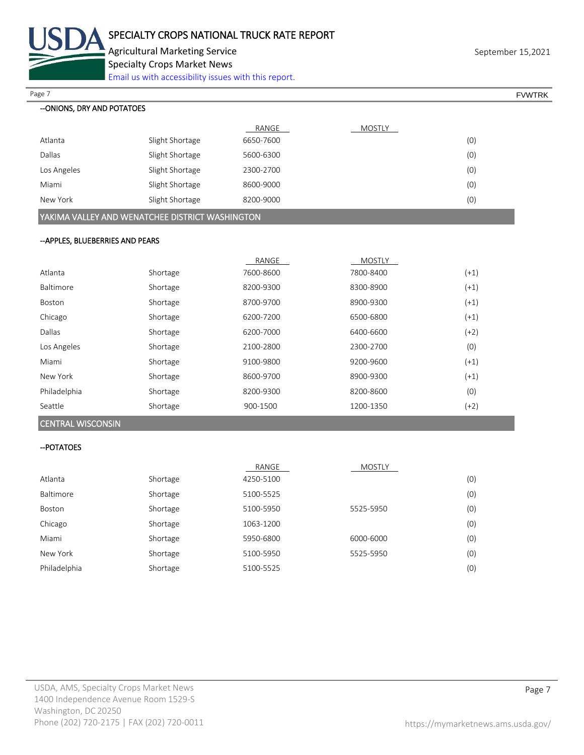

Agricultural Marketing Service **September 15,2021** September 15,2021 Specialty Crops Market News

[Email us with accessibility issues with this report.](mailto:mars@ams.usda.gov?subject=508%20Inquiry/Report)

Page 7 FOUNTRK And the set of the set of the set of the set of the set of the set of the set of the set of the set of the set of the set of the set of the set of the set of the set of the set of the set of the set of the s

| --ONIONS, DRY AND POTATOES                      |                 |           |        |     |  |  |
|-------------------------------------------------|-----------------|-----------|--------|-----|--|--|
|                                                 |                 | RANGE     | MOSTLY |     |  |  |
| Atlanta                                         | Slight Shortage | 6650-7600 |        | (0) |  |  |
| Dallas                                          | Slight Shortage | 5600-6300 |        | (0) |  |  |
| Los Angeles                                     | Slight Shortage | 2300-2700 |        | (0) |  |  |
| Miami                                           | Slight Shortage | 8600-9000 |        | (0) |  |  |
| New York                                        | Slight Shortage | 8200-9000 |        | (0) |  |  |
| YAKIMA VALLEY AND WENATCHEE DISTRICT WASHINGTON |                 |           |        |     |  |  |

### --APPLES, BLUEBERRIES AND PEARS

|              |          | RANGE     | <b>MOSTLY</b> |        |
|--------------|----------|-----------|---------------|--------|
| Atlanta      | Shortage | 7600-8600 | 7800-8400     | $(+1)$ |
| Baltimore    | Shortage | 8200-9300 | 8300-8900     | $(+1)$ |
| Boston       | Shortage | 8700-9700 | 8900-9300     | $(+1)$ |
| Chicago      | Shortage | 6200-7200 | 6500-6800     | $(+1)$ |
| Dallas       | Shortage | 6200-7000 | 6400-6600     | $(+2)$ |
| Los Angeles  | Shortage | 2100-2800 | 2300-2700     | (0)    |
| Miami        | Shortage | 9100-9800 | 9200-9600     | $(+1)$ |
| New York     | Shortage | 8600-9700 | 8900-9300     | $(+1)$ |
| Philadelphia | Shortage | 8200-9300 | 8200-8600     | (0)    |
| Seattle      | Shortage | 900-1500  | 1200-1350     | $(+2)$ |

### CENTRAL WISCONSIN

### --POTATOES

|                  |          | RANGE     | <b>MOSTLY</b> |     |
|------------------|----------|-----------|---------------|-----|
| Atlanta          | Shortage | 4250-5100 |               | (0) |
| <b>Baltimore</b> | Shortage | 5100-5525 |               | (0) |
| Boston           | Shortage | 5100-5950 | 5525-5950     | (0) |
| Chicago          | Shortage | 1063-1200 |               | (0) |
| Miami            | Shortage | 5950-6800 | 6000-6000     | (0) |
| New York         | Shortage | 5100-5950 | 5525-5950     | (0) |
| Philadelphia     | Shortage | 5100-5525 |               | (0) |